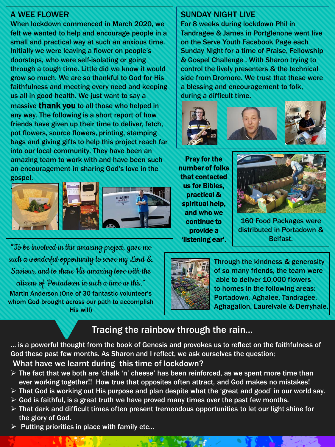## A WEE FLOWER

When lockdown commenced in March 2020, we felt we wanted to help and encourage people in a small and practical way at such an anxious time. Initially we were leaving a flower on people's doorsteps, who were self-isolating or going through a tough time. Little did we know it would grow so much. We are so thankful to God for His faithfulness and meeting every need and keeping us all in good health. We just want to say a massive **thank you** to all those who helped in any way. The following is a short report of how friends have given up their time to deliver, fetch, pot flowers, source flowers, printing, stamping bags and giving gifts to help this project reach far into our local community. They have been an amazing team to work with and have been such an encouragement in sharing God's love in the gospel.



"To be involvedin this amazing project, gave me such a wonderful opportunity to serve my Lord  $\&$ Saviour, and to share His amazing love with the  $c$ itizens of Portadown in such a time as this." Martin Anderson (One of 30 fantastic volunteer's whom God brought across our path to accomplish His will)

#### SUNDAY NIGHT LIVE

For 8 weeks during lockdown Phil in Tandragee & James in Portglenone went live on the Serve Youth Facebook Page each Sunday Night for a time of Praise, Fellowship & Gospel Challenge . With Sharon trying to control the lively presenters & the technical side from Dromore. We trust that these were a blessing and encouragement to folk, during a difficult time.



Pray for the number of folks that contacted us for Bibles, practical & spiritual help, and who we continue to provide a 'listening ear'.



160 Food Packages were distributed in Portadown & Belfast.



Through the kindness & generosity of so many friends, the team were able to deliver 10,000 flowers to homes in the following areas: Portadown, Aghalee, Tandragee, Aghagallon, Laurelvale & Derryhale.

# Tracing the rainbow through the rain…

… is a powerful thought from the book of Genesis and provokes us to reflect on the faithfulness of God these past few months. As Sharon and I reflect, we ask ourselves the question;

What have we learnt during this time of lockdown?

- $\triangleright$  The fact that we both are 'chalk 'n' cheese' has been reinforced, as we spent more time than ever working together!! How true that opposites often attract, and God makes no mistakes!
- ➢ That God is working out His purpose and plan despite what the 'great and good' in our world say.
- $\triangleright$  God is faithful, is a great truth we have proved many times over the past few months.
- ➢ That dark and difficult times often present tremendous opportunities to let our light shine for the glory of God.
- $\triangleright$  Putting priorities in place with family etc...